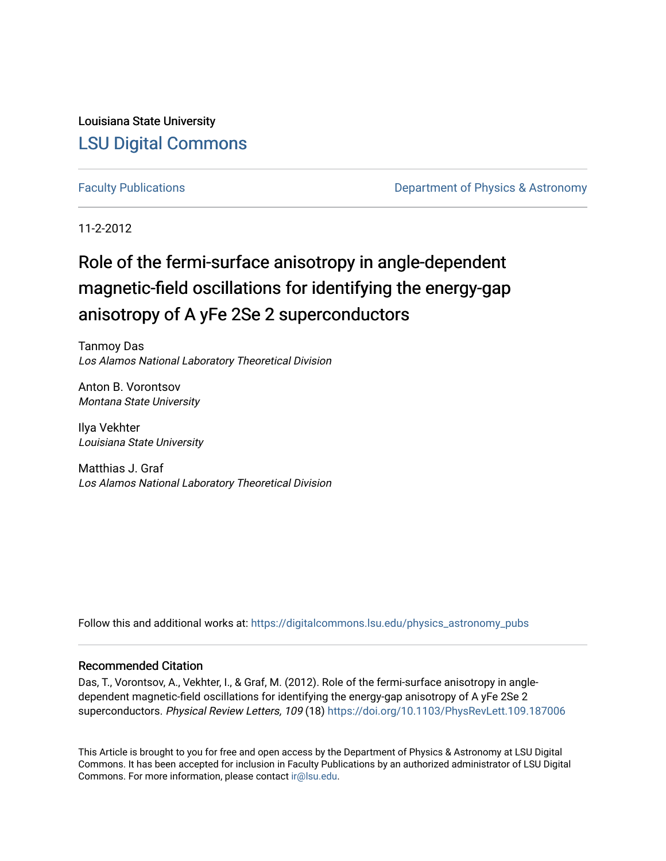Louisiana State University [LSU Digital Commons](https://digitalcommons.lsu.edu/)

[Faculty Publications](https://digitalcommons.lsu.edu/physics_astronomy_pubs) **Exercise 2 and Table 2 and Table 2 and Table 2 and Table 2 and Table 2 and Table 2 and Table 2 and Table 2 and Table 2 and Table 2 and Table 2 and Table 2 and Table 2 and Table 2 and Table 2 and Table** 

11-2-2012

### Role of the fermi-surface anisotropy in angle-dependent magnetic-field oscillations for identifying the energy-gap anisotropy of A yFe 2Se 2 superconductors

Tanmoy Das Los Alamos National Laboratory Theoretical Division

Anton B. Vorontsov Montana State University

Ilya Vekhter Louisiana State University

Matthias J. Graf Los Alamos National Laboratory Theoretical Division

Follow this and additional works at: [https://digitalcommons.lsu.edu/physics\\_astronomy\\_pubs](https://digitalcommons.lsu.edu/physics_astronomy_pubs?utm_source=digitalcommons.lsu.edu%2Fphysics_astronomy_pubs%2F5424&utm_medium=PDF&utm_campaign=PDFCoverPages) 

### Recommended Citation

Das, T., Vorontsov, A., Vekhter, I., & Graf, M. (2012). Role of the fermi-surface anisotropy in angledependent magnetic-field oscillations for identifying the energy-gap anisotropy of A yFe 2Se 2 superconductors. Physical Review Letters, 109 (18)<https://doi.org/10.1103/PhysRevLett.109.187006>

This Article is brought to you for free and open access by the Department of Physics & Astronomy at LSU Digital Commons. It has been accepted for inclusion in Faculty Publications by an authorized administrator of LSU Digital Commons. For more information, please contact [ir@lsu.edu](mailto:ir@lsu.edu).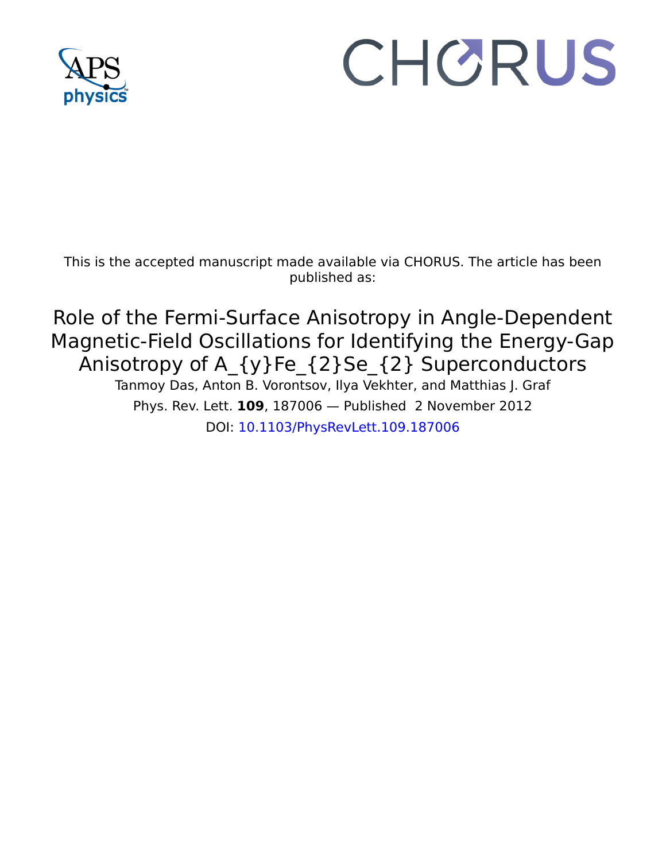

# CHORUS

This is the accepted manuscript made available via CHORUS. The article has been published as:

## Role of the Fermi-Surface Anisotropy in Angle-Dependent Magnetic-Field Oscillations for Identifying the Energy-Gap Anisotropy of A\_{y}Fe\_{2}Se\_{2} Superconductors

Tanmoy Das, Anton B. Vorontsov, Ilya Vekhter, and Matthias J. Graf Phys. Rev. Lett. **109**, 187006 — Published 2 November 2012 DOI: [10.1103/PhysRevLett.109.187006](http://dx.doi.org/10.1103/PhysRevLett.109.187006)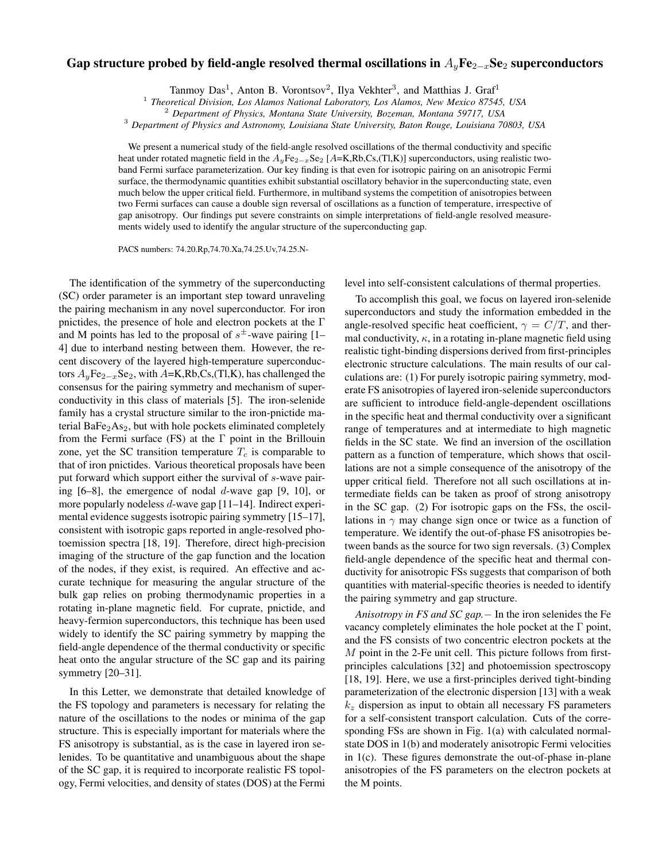#### Gap structure probed by field-angle resolved thermal oscillations in  $A_vF$ e<sub>2−x</sub>Se<sub>2</sub> superconductors

Tanmoy Das<sup>1</sup>, Anton B. Vorontsov<sup>2</sup>, Ilya Vekhter<sup>3</sup>, and Matthias J. Graf<sup>1</sup>

1 *Theoretical Division, Los Alamos National Laboratory, Los Alamos, New Mexico 87545, USA*

<sup>2</sup> *Department of Physics, Montana State University, Bozeman, Montana 59717, USA*

<sup>3</sup> *Department of Physics and Astronomy, Louisiana State University, Baton Rouge, Louisiana 70803, USA*

We present a numerical study of the field-angle resolved oscillations of the thermal conductivity and specific heat under rotated magnetic field in the  $A_yFe_{2-x}Se_2$  [A=K,Rb,Cs,(Tl,K)] superconductors, using realistic twoband Fermi surface parameterization. Our key finding is that even for isotropic pairing on an anisotropic Fermi surface, the thermodynamic quantities exhibit substantial oscillatory behavior in the superconducting state, even much below the upper critical field. Furthermore, in multiband systems the competition of anisotropies between two Fermi surfaces can cause a double sign reversal of oscillations as a function of temperature, irrespective of gap anisotropy. Our findings put severe constraints on simple interpretations of field-angle resolved measurements widely used to identify the angular structure of the superconducting gap.

PACS numbers: 74.20.Rp,74.70.Xa,74.25.Uv,74.25.N-

The identification of the symmetry of the superconducting (SC) order parameter is an important step toward unraveling the pairing mechanism in any novel superconductor. For iron pnictides, the presence of hole and electron pockets at the Γ and M points has led to the proposal of  $s^{\pm}$ -wave pairing [1– 4] due to interband nesting between them. However, the recent discovery of the layered high-temperature superconductors  $A_y$ Fe<sub>2−x</sub>Se<sub>2</sub>, with A=K,Rb,Cs,(Tl,K), has challenged the consensus for the pairing symmetry and mechanism of superconductivity in this class of materials [5]. The iron-selenide family has a crystal structure similar to the iron-pnictide material  $BaFe<sub>2</sub>As<sub>2</sub>$ , but with hole pockets eliminated completely from the Fermi surface (FS) at the  $\Gamma$  point in the Brillouin zone, yet the SC transition temperature  $T_c$  is comparable to that of iron pnictides. Various theoretical proposals have been put forward which support either the survival of s-wave pairing  $[6-8]$ , the emergence of nodal d-wave gap  $[9, 10]$ , or more popularly nodeless d-wave gap [11–14]. Indirect experimental evidence suggests isotropic pairing symmetry [15–17], consistent with isotropic gaps reported in angle-resolved photoemission spectra [18, 19]. Therefore, direct high-precision imaging of the structure of the gap function and the location of the nodes, if they exist, is required. An effective and accurate technique for measuring the angular structure of the bulk gap relies on probing thermodynamic properties in a rotating in-plane magnetic field. For cuprate, pnictide, and heavy-fermion superconductors, this technique has been used widely to identify the SC pairing symmetry by mapping the field-angle dependence of the thermal conductivity or specific heat onto the angular structure of the SC gap and its pairing symmetry [20–31].

In this Letter, we demonstrate that detailed knowledge of the FS topology and parameters is necessary for relating the nature of the oscillations to the nodes or minima of the gap structure. This is especially important for materials where the FS anisotropy is substantial, as is the case in layered iron selenides. To be quantitative and unambiguous about the shape of the SC gap, it is required to incorporate realistic FS topology, Fermi velocities, and density of states (DOS) at the Fermi level into self-consistent calculations of thermal properties.

To accomplish this goal, we focus on layered iron-selenide superconductors and study the information embedded in the angle-resolved specific heat coefficient,  $\gamma = C/T$ , and thermal conductivity,  $\kappa$ , in a rotating in-plane magnetic field using realistic tight-binding dispersions derived from first-principles electronic structure calculations. The main results of our calculations are: (1) For purely isotropic pairing symmetry, moderate FS anisotropies of layered iron-selenide superconductors are sufficient to introduce field-angle-dependent oscillations in the specific heat and thermal conductivity over a significant range of temperatures and at intermediate to high magnetic fields in the SC state. We find an inversion of the oscillation pattern as a function of temperature, which shows that oscillations are not a simple consequence of the anisotropy of the upper critical field. Therefore not all such oscillations at intermediate fields can be taken as proof of strong anisotropy in the SC gap. (2) For isotropic gaps on the FSs, the oscillations in  $\gamma$  may change sign once or twice as a function of temperature. We identify the out-of-phase FS anisotropies between bands as the source for two sign reversals. (3) Complex field-angle dependence of the specific heat and thermal conductivity for anisotropic FSs suggests that comparison of both quantities with material-specific theories is needed to identify the pairing symmetry and gap structure.

*Anisotropy in FS and SC gap.*− In the iron selenides the Fe vacancy completely eliminates the hole pocket at the Γ point, and the FS consists of two concentric electron pockets at the M point in the 2-Fe unit cell. This picture follows from firstprinciples calculations [32] and photoemission spectroscopy [18, 19]. Here, we use a first-principles derived tight-binding parameterization of the electronic dispersion [13] with a weak  $k<sub>z</sub>$  dispersion as input to obtain all necessary FS parameters for a self-consistent transport calculation. Cuts of the corresponding FSs are shown in Fig. 1(a) with calculated normalstate DOS in 1(b) and moderately anisotropic Fermi velocities in 1(c). These figures demonstrate the out-of-phase in-plane anisotropies of the FS parameters on the electron pockets at the M points.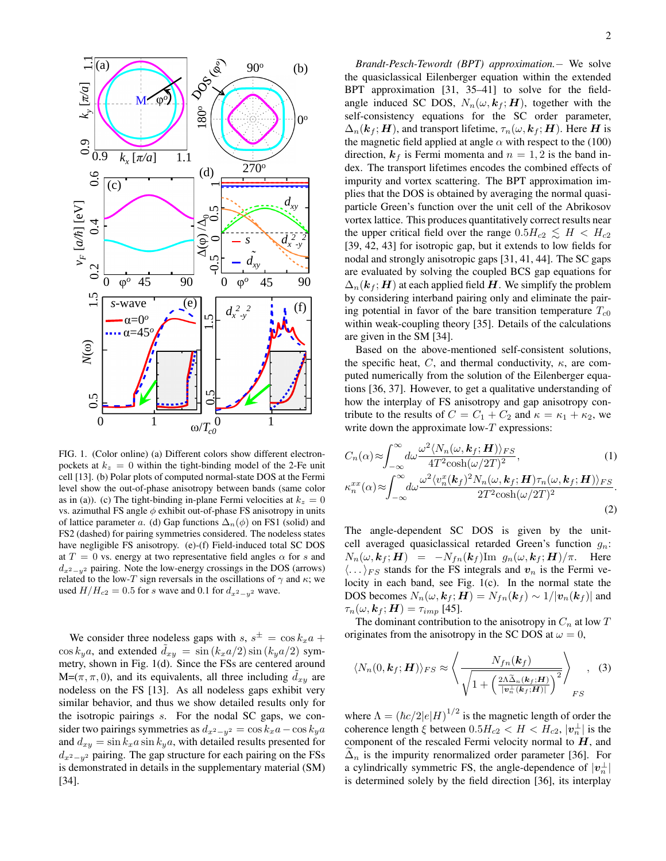

FIG. 1. (Color online) (a) Different colors show different electronpockets at  $k_z = 0$  within the tight-binding model of the 2-Fe unit cell [13]. (b) Polar plots of computed normal-state DOS at the Fermi level show the out-of-phase anisotropy between bands (same color as in (a)). (c) The tight-binding in-plane Fermi velocities at  $k_z = 0$ vs. azimuthal FS angle  $\phi$  exhibit out-of-phase FS anisotropy in units of lattice parameter a. (d) Gap functions  $\Delta_n(\phi)$  on FS1 (solid) and FS2 (dashed) for pairing symmetries considered. The nodeless states have negligible FS anisotropy. (e)-(f) Field-induced total SC DOS at  $T = 0$  vs. energy at two representative field angles  $\alpha$  for s and  $d_{x^2-y^2}$  pairing. Note the low-energy crossings in the DOS (arrows) related to the low-T sign reversals in the oscillations of  $\gamma$  and  $\kappa$ ; we used  $H/H_{c2} = 0.5$  for s wave and 0.1 for  $d_{x^2-y^2}$  wave.

We consider three nodeless gaps with  $s, s^{\pm} = \cos k_x a +$  $\cos k_y a$ , and extended  $d_{xy} = \sin (k_x a/2) \sin (k_y a/2)$  symmetry, shown in Fig. 1(d). Since the FSs are centered around  $M=(\pi, \pi, 0)$ , and its equivalents, all three including  $d_{xy}$  are nodeless on the FS [13]. As all nodeless gaps exhibit very similar behavior, and thus we show detailed results only for the isotropic pairings s. For the nodal SC gaps, we consider two pairings symmetries as  $d_{x^2-y^2} = \cos k_x a - \cos k_y a$ and  $d_{xy} = \sin k_x a \sin k_y a$ , with detailed results presented for  $d_{x^2-y^2}$  pairing. The gap structure for each pairing on the FSs is demonstrated in details in the supplementary material (SM) [34].

*Brandt-Pesch-Tewordt (BPT) approximation.*− We solve the quasiclassical Eilenberger equation within the extended BPT approximation [31, 35–41] to solve for the fieldangle induced SC DOS,  $N_n(\omega, k_f; H)$ , together with the self-consistency equations for the SC order parameter,  $\Delta_n(\mathbf{k}_f; \mathbf{H})$ , and transport lifetime,  $\tau_n(\omega, \mathbf{k}_f; \mathbf{H})$ . Here H is the magnetic field applied at angle  $\alpha$  with respect to the (100) direction,  $k_f$  is Fermi momenta and  $n = 1, 2$  is the band index. The transport lifetimes encodes the combined effects of impurity and vortex scattering. The BPT approximation implies that the DOS is obtained by averaging the normal quasiparticle Green's function over the unit cell of the Abrikosov vortex lattice. This produces quantitatively correct results near the upper critical field over the range  $0.5H_{c2} \lesssim H < H_{c2}$ [39, 42, 43] for isotropic gap, but it extends to low fields for nodal and strongly anisotropic gaps [31, 41, 44]. The SC gaps are evaluated by solving the coupled BCS gap equations for  $\Delta_n(\mathbf{k}_f; \mathbf{H})$  at each applied field H. We simplify the problem by considering interband pairing only and eliminate the pairing potential in favor of the bare transition temperature  $T_{c0}$ within weak-coupling theory [35]. Details of the calculations are given in the SM [34].

Based on the above-mentioned self-consistent solutions, the specific heat, C, and thermal conductivity,  $\kappa$ , are computed numerically from the solution of the Eilenberger equations [36, 37]. However, to get a qualitative understanding of how the interplay of FS anisotropy and gap anisotropy contribute to the results of  $C = C_1 + C_2$  and  $\kappa = \kappa_1 + \kappa_2$ , we write down the approximate  $low-T$  expressions:

$$
C_n(\alpha) \approx \int_{-\infty}^{\infty} d\omega \frac{\omega^2 \langle N_n(\omega, \mathbf{k}_f; \mathbf{H}) \rangle_{FS}}{4T^2 \cosh(\omega/2T)^2},
$$
(1)  

$$
\kappa_n^{xx}(\alpha) \approx \int_{-\infty}^{\infty} d\omega \frac{\omega^2 \langle v_n^x(\mathbf{k}_f)^2 N_n(\omega, \mathbf{k}_f; \mathbf{H}) \tau_n(\omega, \mathbf{k}_f; \mathbf{H}) \rangle_{FS}}{2T^2 \cosh(\omega/2T)^2}.
$$
(2)

The angle-dependent SC DOS is given by the unitcell averaged quasiclassical retarded Green's function  $g_n$ :  $N_n(\omega, k_f; H) = -N_{fn}(k_f)$ Im  $g_n(\omega, k_f; H)/\pi$ . Here  $\langle \dots \rangle_{FS}$  stands for the FS integrals and  $v_n$  is the Fermi velocity in each band, see Fig. 1(c). In the normal state the DOS becomes  $N_n(\omega, k_f; H) = N_{fn}(k_f) \sim 1/|\mathbf{v}_n(k_f)|$  and  $\tau_n(\omega, \mathbf{k}_f; \mathbf{H}) = \tau_{imp}$  [45].

The dominant contribution to the anisotropy in  $C_n$  at low  $T$ originates from the anisotropy in the SC DOS at  $\omega = 0$ ,

$$
\langle N_n(0, \mathbf{k}_f; \mathbf{H}) \rangle_{FS} \approx \left\langle \frac{N_{fn}(\mathbf{k}_f)}{\sqrt{1 + \left(\frac{2\Lambda \tilde{\Delta}_n(\mathbf{k}_f; \mathbf{H})}{|\mathbf{v}_n^{\perp}(\mathbf{k}_f; \mathbf{H})|}\right)^2}} \right\rangle_{FS}, \quad (3)
$$

where  $\Lambda = (\hbar c/2|e|H)^{1/2}$  is the magnetic length of order the coherence length  $\xi$  between  $0.5H_{c2} < H < H_{c2}$ ,  $|\boldsymbol{v}_n^{\perp}|$  is the component of the rescaled Fermi velocity normal to  $H$ , and  $\Delta_n$  is the impurity renormalized order parameter [36]. For a cylindrically symmetric FS, the angle-dependence of  $|v_n^{\perp}|$ is determined solely by the field direction [36], its interplay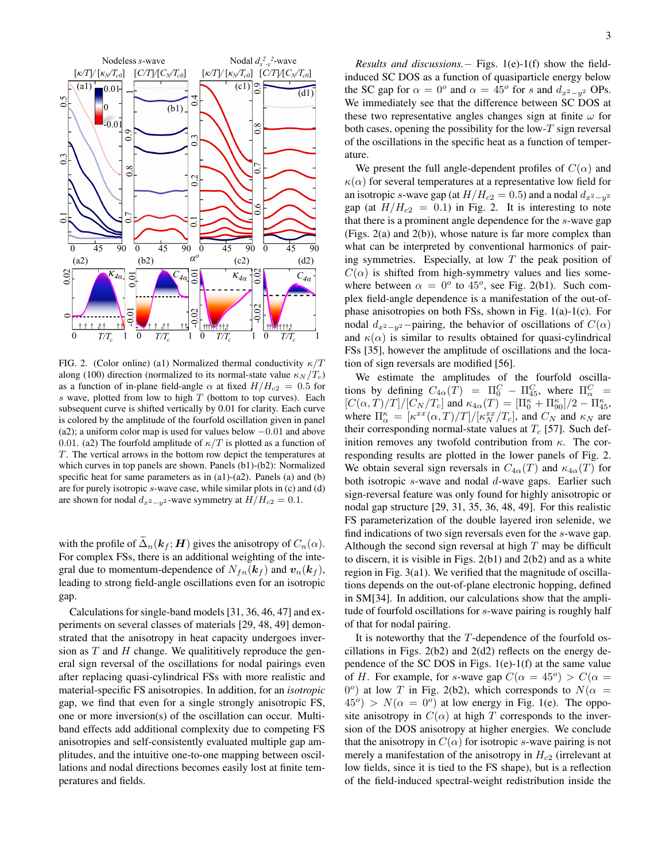

FIG. 2. (Color online) (a1) Normalized thermal conductivity  $\kappa/T$ along (100) direction (normalized to its normal-state value  $\kappa_N /T_c$ ) as a function of in-plane field-angle  $\alpha$  at fixed  $H/H_{c2} = 0.5$  for s wave, plotted from low to high  $T$  (bottom to top curves). Each subsequent curve is shifted vertically by 0.01 for clarity. Each curve is colored by the amplitude of the fourfold oscillation given in panel (a2); a uniform color map is used for values below −0.01 and above 0.01. (a2) The fourfold amplitude of  $\kappa/T$  is plotted as a function of T. The vertical arrows in the bottom row depict the temperatures at which curves in top panels are shown. Panels (b1)-(b2): Normalized specific heat for same parameters as in (a1)-(a2). Panels (a) and (b) are for purely isotropic s-wave case, while similar plots in (c) and (d) are shown for nodal  $d_{x^2-y^2}$ -wave symmetry at  $H/H_{c2} = 0.1$ .

with the profile of  $\tilde{\Delta}_n(k_f; H)$  gives the anisotropy of  $C_n(\alpha)$ . For complex FSs, there is an additional weighting of the integral due to momentum-dependence of  $N_{fn}(\mathbf{k}_f)$  and  $\mathbf{v}_n(\mathbf{k}_f)$ , leading to strong field-angle oscillations even for an isotropic gap.

Calculations for single-band models [31, 36, 46, 47] and experiments on several classes of materials [29, 48, 49] demonstrated that the anisotropy in heat capacity undergoes inversion as  $T$  and  $H$  change. We qualititively reproduce the general sign reversal of the oscillations for nodal pairings even after replacing quasi-cylindrical FSs with more realistic and material-specific FS anisotropies. In addition, for an *isotropic* gap, we find that even for a single strongly anisotropic FS, one or more inversion(s) of the oscillation can occur. Multiband effects add additional complexity due to competing FS anisotropies and self-consistently evaluated multiple gap amplitudes, and the intuitive one-to-one mapping between oscillations and nodal directions becomes easily lost at finite temperatures and fields.

*Results and discussions.*− Figs. 1(e)-1(f) show the fieldinduced SC DOS as a function of quasiparticle energy below the SC gap for  $\alpha = 0^{\circ}$  and  $\alpha = 45^{\circ}$  for s and  $d_{x^2-y^2}$  OPs. We immediately see that the difference between SC DOS at these two representative angles changes sign at finite  $\omega$  for both cases, opening the possibility for the low- $T$  sign reversal of the oscillations in the specific heat as a function of temperature.

We present the full angle-dependent profiles of  $C(\alpha)$  and  $\kappa(\alpha)$  for several temperatures at a representative low field for an isotropic s-wave gap (at  $H/H_{c2} = 0.5$ ) and a nodal  $d_{x^2-y^2}$ gap (at  $H/H_{c2} = 0.1$ ) in Fig. 2. It is interesting to note that there is a prominent angle dependence for the s-wave gap (Figs. 2(a) and 2(b)), whose nature is far more complex than what can be interpreted by conventional harmonics of pairing symmetries. Especially, at low  $T$  the peak position of  $C(\alpha)$  is shifted from high-symmetry values and lies somewhere between  $\alpha = 0^{\circ}$  to 45°, see Fig. 2(b1). Such complex field-angle dependence is a manifestation of the out-ofphase anisotropies on both FSs, shown in Fig. 1(a)-1(c). For nodal  $d_{x^2-y^2}$ −pairing, the behavior of oscillations of  $C(\alpha)$ and  $\kappa(\alpha)$  is similar to results obtained for quasi-cylindrical FSs [35], however the amplitude of oscillations and the location of sign reversals are modified [56].

We estimate the amplitudes of the fourfold oscillations by defining  $C_{4\alpha}(T) = \Pi_0^C - \Pi_{45}^C$ , where  $\Pi_{\alpha}^C =$  $[C(\alpha, T)/T]/[C_N/T_c]$  and  $\kappa_{4\alpha}(T) = [\Pi_0^{\kappa} + \Pi_{90}^{\kappa}]/2 - \Pi_{45}^{\kappa}$ , where  $\Pi_{\alpha}^{\kappa} = [\kappa^{xx}(\alpha, T)/T]/[\kappa_N^{xx}/T_c]$ , and  $C_N$  and  $\kappa_N$  are their corresponding normal-state values at  $T_c$  [57]. Such definition removes any twofold contribution from  $\kappa$ . The corresponding results are plotted in the lower panels of Fig. 2. We obtain several sign reversals in  $C_{4\alpha}(T)$  and  $\kappa_{4\alpha}(T)$  for both isotropic s-wave and nodal d-wave gaps. Earlier such sign-reversal feature was only found for highly anisotropic or nodal gap structure [29, 31, 35, 36, 48, 49]. For this realistic FS parameterization of the double layered iron selenide, we find indications of two sign reversals even for the s-wave gap. Although the second sign reversal at high  $T$  may be difficult to discern, it is visible in Figs. 2(b1) and 2(b2) and as a white region in Fig. 3(a1). We verified that the magnitude of oscillations depends on the out-of-plane electronic hopping, defined in SM[34]. In addition, our calculations show that the amplitude of fourfold oscillations for s-wave pairing is roughly half of that for nodal pairing.

It is noteworthy that the T-dependence of the fourfold oscillations in Figs. 2(b2) and 2(d2) reflects on the energy dependence of the SC DOS in Figs.  $1(e)-1(f)$  at the same value of H. For example, for s-wave gap  $C(\alpha = 45^{\circ}) > C(\alpha = 45^{\circ})$  $0^{\circ}$ ) at low T in Fig. 2(b2), which corresponds to  $N(\alpha =$  $45^\circ$ ) >  $N(\alpha = 0^\circ)$  at low energy in Fig. 1(e). The opposite anisotropy in  $C(\alpha)$  at high T corresponds to the inversion of the DOS anisotropy at higher energies. We conclude that the anisotropy in  $C(\alpha)$  for isotropic s-wave pairing is not merely a manifestation of the anisotropy in  $H_{c2}$  (irrelevant at low fields, since it is tied to the FS shape), but is a reflection of the field-induced spectral-weight redistribution inside the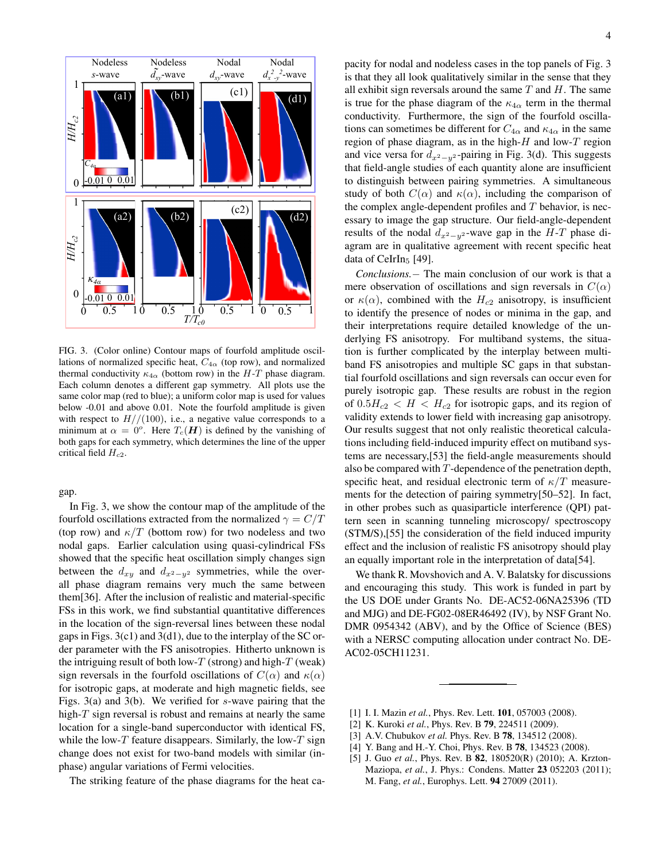

FIG. 3. (Color online) Contour maps of fourfold amplitude oscillations of normalized specific heat,  $C_{4\alpha}$  (top row), and normalized thermal conductivity  $\kappa_{4\alpha}$  (bottom row) in the H-T phase diagram. Each column denotes a different gap symmetry. All plots use the same color map (red to blue); a uniform color map is used for values below -0.01 and above 0.01. Note the fourfold amplitude is given with respect to  $H//(100)$ , i.e., a negative value corresponds to a minimum at  $\alpha = 0^{\circ}$ . Here  $T_c(H)$  is defined by the vanishing of both gaps for each symmetry, which determines the line of the upper critical field  $H_{c2}$ .

gap.

In Fig. 3, we show the contour map of the amplitude of the fourfold oscillations extracted from the normalized  $\gamma = C/T$ (top row) and  $\kappa/T$  (bottom row) for two nodeless and two nodal gaps. Earlier calculation using quasi-cylindrical FSs showed that the specific heat oscillation simply changes sign between the  $d_{xy}$  and  $d_{x^2-y^2}$  symmetries, while the overall phase diagram remains very much the same between them[36]. After the inclusion of realistic and material-specific FSs in this work, we find substantial quantitative differences in the location of the sign-reversal lines between these nodal gaps in Figs. 3(c1) and 3(d1), due to the interplay of the SC order parameter with the FS anisotropies. Hitherto unknown is the intriguing result of both low-T (strong) and high-T (weak) sign reversals in the fourfold oscillations of  $C(\alpha)$  and  $\kappa(\alpha)$ for isotropic gaps, at moderate and high magnetic fields, see Figs. 3(a) and 3(b). We verified for s-wave pairing that the high- $T$  sign reversal is robust and remains at nearly the same location for a single-band superconductor with identical FS, while the low- $T$  feature disappears. Similarly, the low- $T$  sign change does not exist for two-band models with similar (inphase) angular variations of Fermi velocities.

The striking feature of the phase diagrams for the heat ca-

region of phase diagram, as in the high- $H$  and low- $T$  region (c1) 00 that field-angle studies of each quantity alone are insufficient all exhibit sign reversals around the same  $T$  and  $H$ . The same pacity for nodal and nodeless cases in the top panels of Fig. 3 is that they all look qualitatively similar in the sense that they is true for the phase diagram of the  $\kappa_{4\alpha}$  term in the thermal conductivity. Furthermore, the sign of the fourfold oscillations can sometimes be different for  $C_{4\alpha}$  and  $\kappa_{4\alpha}$  in the same and vice versa for  $d_{x^2-y^2}$ -pairing in Fig. 3(d). This suggests to distinguish between pairing symmetries. A simultaneous study of both  $C(\alpha)$  and  $\kappa(\alpha)$ , including the comparison of the complex angle-dependent profiles and  $T$  behavior, is necessary to image the gap structure. Our field-angle-dependent results of the nodal  $d_{x^2-y^2}$ -wave gap in the  $H-T$  phase diagram are in qualitative agreement with recent specific heat data of CeIrIn<sub>5</sub> [49].

> *Conclusions.*− The main conclusion of our work is that a mere observation of oscillations and sign reversals in  $C(\alpha)$ or  $\kappa(\alpha)$ , combined with the  $H_{c2}$  anisotropy, is insufficient to identify the presence of nodes or minima in the gap, and their interpretations require detailed knowledge of the underlying FS anisotropy. For multiband systems, the situation is further complicated by the interplay between multiband FS anisotropies and multiple SC gaps in that substantial fourfold oscillations and sign reversals can occur even for purely isotropic gap. These results are robust in the region of  $0.5H_{c2} < H < H_{c2}$  for isotropic gaps, and its region of validity extends to lower field with increasing gap anisotropy. Our results suggest that not only realistic theoretical calculations including field-induced impurity effect on mutiband systems are necessary,[53] the field-angle measurements should also be compared with T-dependence of the penetration depth, specific heat, and residual electronic term of  $\kappa/T$  measurements for the detection of pairing symmetry[50–52]. In fact, in other probes such as quasiparticle interference (QPI) pattern seen in scanning tunneling microscopy/ spectroscopy (STM/S),[55] the consideration of the field induced impurity effect and the inclusion of realistic FS anisotropy should play an equally important role in the interpretation of data[54].

> We thank R. Movshovich and A. V. Balatsky for discussions and encouraging this study. This work is funded in part by the US DOE under Grants No. DE-AC52-06NA25396 (TD and MJG) and DE-FG02-08ER46492 (IV), by NSF Grant No. DMR 0954342 (ABV), and by the Office of Science (BES) with a NERSC computing allocation under contract No. DE-AC02-05CH11231.

- [1] I. I. Mazin *et al.*, Phys. Rev. Lett. **101**, 057003 (2008).
- [2] K. Kuroki *et al.*, Phys. Rev. B 79, 224511 (2009).
- [3] A.V. Chubukov *et al.* Phys. Rev. B **78**, 134512 (2008).
- [4] Y. Bang and H.-Y. Choi, Phys. Rev. B 78, 134523 (2008).
- [5] J. Guo *et al.*, Phys. Rev. B 82, 180520(R) (2010); A. Krzton-Maziopa, *et al.*, J. Phys.: Condens. Matter 23 052203 (2011); M. Fang, *et al.*, Europhys. Lett. 94 27009 (2011).